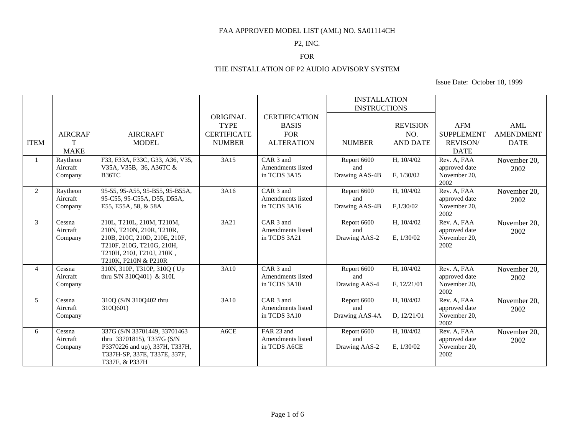#### P2, INC.

## FOR

### THE INSTALLATION OF P2 AUDIO ADVISORY SYSTEM

|                |                      |                                                                |                    |                      | <b>INSTALLATION</b> |                 |                              |                  |
|----------------|----------------------|----------------------------------------------------------------|--------------------|----------------------|---------------------|-----------------|------------------------------|------------------|
|                |                      |                                                                |                    |                      | <b>INSTRUCTIONS</b> |                 |                              |                  |
|                |                      |                                                                | ORIGINAL           | <b>CERTIFICATION</b> |                     |                 |                              |                  |
|                |                      |                                                                | <b>TYPE</b>        | <b>BASIS</b>         |                     | <b>REVISION</b> | <b>AFM</b>                   | AML              |
|                | <b>AIRCRAF</b>       | <b>AIRCRAFT</b>                                                | <b>CERTIFICATE</b> | <b>FOR</b>           |                     | NO.             | <b>SUPPLEMENT</b>            | <b>AMENDMENT</b> |
| <b>ITEM</b>    | T                    | <b>MODEL</b>                                                   | <b>NUMBER</b>      | <b>ALTERATION</b>    | <b>NUMBER</b>       | <b>AND DATE</b> | <b>REVISON/</b>              | <b>DATE</b>      |
|                | <b>MAKE</b>          |                                                                |                    |                      |                     |                 | <b>DATE</b>                  |                  |
|                | Raytheon             | F33, F33A, F33C, G33, A36, V35,                                | 3A15               | CAR <sub>3</sub> and | Report 6600         | H, 10/4/02      | Rev. A, FAA                  | November 20,     |
|                | Aircraft             | V35A, V35B, 36, A36TC &                                        |                    | Amendments listed    | and                 |                 | approved date                | 2002             |
|                | Company              | B36TC                                                          |                    | in TCDS 3A15         | Drawing AAS-4B      | F, 1/30/02      | November 20,                 |                  |
| 2              |                      |                                                                |                    | CAR <sub>3</sub> and |                     | H, 10/4/02      | 2002                         |                  |
|                | Raytheon<br>Aircraft | 95-55, 95-A55, 95-B55, 95-B55A,<br>95-C55, 95-C55A, D55, D55A, | 3A16               | Amendments listed    | Report 6600<br>and  |                 | Rev. A, FAA<br>approved date | November 20,     |
|                | Company              | E55, E55A, 58, & 58A                                           |                    | in TCDS 3A16         | Drawing AAS-4B      | F, 1/30/02      | November 20,                 | 2002             |
|                |                      |                                                                |                    |                      |                     |                 | 2002                         |                  |
| $\mathfrak{Z}$ | Cessna               | 210L, T210L, 210M, T210M,                                      | 3A21               | CAR <sub>3</sub> and | Report 6600         | H, 10/4/02      | Rev. A, FAA                  | November 20,     |
|                | Aircraft             | 210N, T210N, 210R, T210R,                                      |                    | Amendments listed    | and                 |                 | approved date                | 2002             |
|                | Company              | 210B, 210C, 210D, 210E, 210F,                                  |                    | in TCDS 3A21         | Drawing AAS-2       | E, $1/30/02$    | November 20,                 |                  |
|                |                      | T210F, 210G, T210G, 210H,                                      |                    |                      |                     |                 | 2002                         |                  |
|                |                      | T210H, 210J, T210J, 210K,                                      |                    |                      |                     |                 |                              |                  |
| $\overline{4}$ |                      | T210K, P210N & P210R                                           | 3A10               | CAR <sub>3</sub> and |                     |                 | Rev. A, FAA                  |                  |
|                | Cessna<br>Aircraft   | 310N, 310P, T310P, 310Q (Up)<br>thru S/N 310O401) & 310L       |                    | Amendments listed    | Report 6600<br>and  | H, 10/4/02      | approved date                | November 20,     |
|                | Company              |                                                                |                    | in TCDS 3A10         | Drawing AAS-4       | F, 12/21/01     | November 20,                 | 2002             |
|                |                      |                                                                |                    |                      |                     |                 | 2002                         |                  |
| 5 <sup>5</sup> | Cessna               | 310Q (S/N 310Q402 thru                                         | 3A10               | CAR <sub>3</sub> and | Report 6600         | H, 10/4/02      | Rev. A, FAA                  | November 20,     |
|                | Aircraft             | 310Q601)                                                       |                    | Amendments listed    | and                 |                 | approved date                | 2002             |
|                | Company              |                                                                |                    | in TCDS 3A10         | Drawing AAS-4A      | D, 12/21/01     | November 20,                 |                  |
|                |                      |                                                                |                    |                      |                     |                 | 2002                         |                  |
| 6              | Cessna               | 337G (S/N 33701449, 33701463                                   | A6CE               | FAR 23 and           | Report 6600         | H, 10/4/02      | Rev. A, FAA                  | November 20,     |
|                | Aircraft             | thru 33701815), T337G (S/N                                     |                    | Amendments listed    | and                 |                 | approved date                | 2002             |
|                | Company              | P3370226 and up), 337H, T337H,<br>T337H-SP, 337E, T337E, 337F, |                    | in TCDS A6CE         | Drawing AAS-2       | E, 1/30/02      | November 20,<br>2002         |                  |
|                |                      | T337F, & P337H                                                 |                    |                      |                     |                 |                              |                  |
|                |                      |                                                                |                    |                      |                     |                 |                              |                  |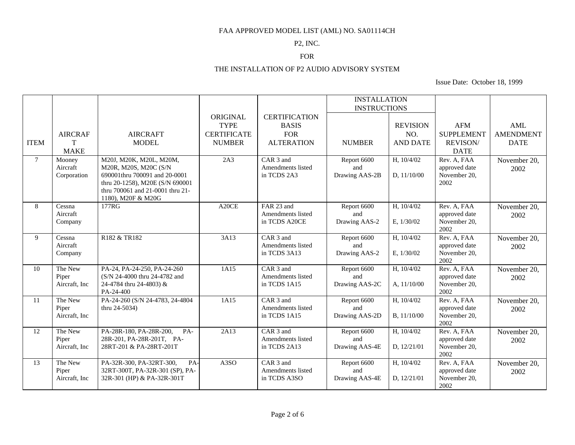#### P2, INC.

### FOR

### THE INSTALLATION OF P2 AUDIO ADVISORY SYSTEM

|             |                |                                                                     |                    |                          | <b>INSTALLATION</b> |                 |                      |                  |
|-------------|----------------|---------------------------------------------------------------------|--------------------|--------------------------|---------------------|-----------------|----------------------|------------------|
|             |                |                                                                     |                    |                          | <b>INSTRUCTIONS</b> |                 |                      |                  |
|             |                |                                                                     | ORIGINAL           | <b>CERTIFICATION</b>     |                     |                 |                      |                  |
|             |                |                                                                     | <b>TYPE</b>        | <b>BASIS</b>             |                     | <b>REVISION</b> | <b>AFM</b>           | AML              |
|             | <b>AIRCRAF</b> | <b>AIRCRAFT</b>                                                     | <b>CERTIFICATE</b> | <b>FOR</b>               |                     | NO.             | <b>SUPPLEMENT</b>    | <b>AMENDMENT</b> |
| <b>ITEM</b> | T              | <b>MODEL</b>                                                        | <b>NUMBER</b>      | <b>ALTERATION</b>        | <b>NUMBER</b>       | <b>AND DATE</b> | <b>REVISON/</b>      | <b>DATE</b>      |
|             | <b>MAKE</b>    |                                                                     |                    |                          |                     |                 | <b>DATE</b>          |                  |
| $7^{\circ}$ | Mooney         | M20J, M20K, M20L, M20M,                                             | 2A3                | CAR <sub>3</sub> and     | Report 6600         | H, 10/4/02      | Rev. A, FAA          | November 20,     |
|             | Aircraft       | M20R, M20S, M20C (S/N                                               |                    | Amendments listed        | and                 |                 | approved date        | 2002             |
|             | Corporation    | 690001thru 700091 and 20-0001                                       |                    | in TCDS 2A3              | Drawing AAS-2B      | D, $11/10/00$   | November 20,         |                  |
|             |                | thru 20-1258), M20E (S/N 690001<br>thru 700061 and 21-0001 thru 21- |                    |                          |                     |                 | 2002                 |                  |
|             |                | 1180), M20F & M20G                                                  |                    |                          |                     |                 |                      |                  |
| 8           | Cessna         | 177RG                                                               | A20CE              | FAR 23 and               | Report 6600         | H, 10/4/02      | Rev. A, FAA          | November 20,     |
|             | Aircraft       |                                                                     |                    | Amendments listed        | and                 |                 | approved date        | 2002             |
|             | Company        |                                                                     |                    | in TCDS A20CE            | Drawing AAS-2       | E, 1/30/02      | November 20,         |                  |
|             |                |                                                                     |                    |                          |                     |                 | 2002                 |                  |
| 9           | Cessna         | R182 & TR182                                                        | 3A13               | CAR <sub>3</sub> and     | Report 6600         | H, 10/4/02      | Rev. A, FAA          | November 20,     |
|             | Aircraft       |                                                                     |                    | Amendments listed        | and                 |                 | approved date        | 2002             |
|             | Company        |                                                                     |                    | in TCDS 3A13             | Drawing AAS-2       | E, 1/30/02      | November 20,<br>2002 |                  |
| 10          | The New        | PA-24, PA-24-250, PA-24-260                                         | 1A15               | CAR 3 and                | Report 6600         | H, 10/4/02      | Rev. A, FAA          | November 20,     |
|             | Piper          | (S/N 24-4000 thru 24-4782 and                                       |                    | Amendments listed        | and                 |                 | approved date        | 2002             |
|             | Aircraft, Inc  | 24-4784 thru 24-4803) &                                             |                    | in TCDS 1A15             | Drawing AAS-2C      | A, 11/10/00     | November 20,         |                  |
|             |                | PA-24-400                                                           |                    |                          |                     |                 | 2002                 |                  |
| 11          | The New        | PA-24-260 (S/N 24-4783, 24-4804                                     | 1A15               | CAR <sub>3</sub> and     | Report 6600         | H, 10/4/02      | Rev. A, FAA          | November 20,     |
|             | Piper          | thru 24-5034)                                                       |                    | Amendments listed        | and                 |                 | approved date        | 2002             |
|             | Aircraft, Inc  |                                                                     |                    | in TCDS 1A15             | Drawing AAS-2D      | B, 11/10/00     | November 20,         |                  |
| 12          | The New        | PA-28R-180, PA-28R-200,<br>PA-                                      | 2A13               | CAR 3 and                | Report 6600         | H, 10/4/02      | 2002<br>Rev. A, FAA  | November 20,     |
|             | Piper          | 28R-201, PA-28R-201T, PA-                                           |                    | <b>Amendments listed</b> | and                 |                 | approved date        | 2002             |
|             | Aircraft, Inc  | 28RT-201 & PA-28RT-201T                                             |                    | in TCDS 2A13             | Drawing AAS-4E      | D, 12/21/01     | November 20,         |                  |
|             |                |                                                                     |                    |                          |                     |                 | 2002                 |                  |
| 13          | The New        | PA-32R-300, PA-32RT-300,<br>PA-                                     | A3SO               | CAR <sub>3</sub> and     | Report 6600         | H, 10/4/02      | Rev. A, FAA          | November 20,     |
|             | Piper          | 32RT-300T, PA-32R-301 (SP), PA-                                     |                    | Amendments listed        | and                 |                 | approved date        | 2002             |
|             | Aircraft, Inc. | 32R-301 (HP) & PA-32R-301T                                          |                    | in TCDS A3SO             | Drawing AAS-4E      | D, 12/21/01     | November 20,         |                  |
|             |                |                                                                     |                    |                          |                     |                 | 2002                 |                  |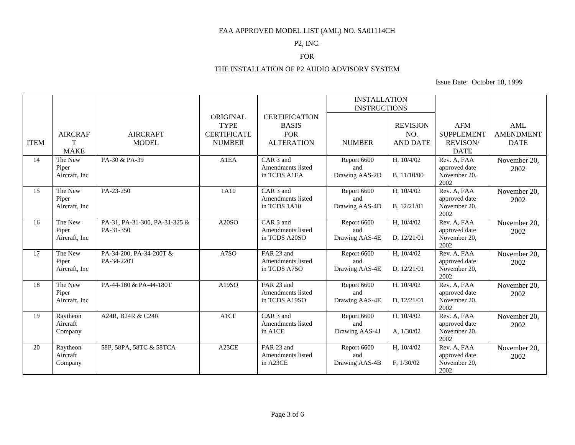#### P2, INC.

## FOR

# THE INSTALLATION OF P2 AUDIO ADVISORY SYSTEM

|             |                         |                               |                    |                                   | <b>INSTALLATION</b>   |                 |                               |                  |
|-------------|-------------------------|-------------------------------|--------------------|-----------------------------------|-----------------------|-----------------|-------------------------------|------------------|
|             |                         |                               |                    |                                   | <b>INSTRUCTIONS</b>   |                 |                               |                  |
|             |                         |                               | ORIGINAL           | <b>CERTIFICATION</b>              |                       |                 |                               |                  |
|             |                         |                               | <b>TYPE</b>        | <b>BASIS</b>                      |                       | <b>REVISION</b> | <b>AFM</b>                    | AML              |
|             | <b>AIRCRAF</b>          | <b>AIRCRAFT</b>               | <b>CERTIFICATE</b> | <b>FOR</b>                        |                       | NO.             | <b>SUPPLEMENT</b>             | <b>AMENDMENT</b> |
| <b>ITEM</b> | T                       | <b>MODEL</b>                  | <b>NUMBER</b>      | <b>ALTERATION</b>                 | <b>NUMBER</b>         | <b>AND DATE</b> | <b>REVISON/</b>               | <b>DATE</b>      |
|             | <b>MAKE</b>             |                               |                    |                                   |                       |                 | <b>DATE</b>                   |                  |
| 14          | The New                 | PA-30 & PA-39                 | A1EA               | CAR <sub>3</sub> and              | Report 6600           | H, 10/4/02      | Rev. A, FAA                   | November 20,     |
|             | Piper                   |                               |                    | Amendments listed<br>in TCDS A1EA | and                   |                 | approved date                 | 2002             |
|             | Aircraft, Inc.          |                               |                    |                                   | Drawing AAS-2D        | B, 11/10/00     | November 20,<br>2002          |                  |
| 15          | The New                 | PA-23-250                     | 1A10               | CAR 3 and                         | Report 6600           | H, 10/4/02      | Rev. A, FAA                   | November 20,     |
|             | Piper                   |                               |                    | Amendments listed                 | and                   |                 | approved date                 | 2002             |
|             | Aircraft, Inc           |                               |                    | in TCDS 1A10                      | Drawing AAS-4D        | B, 12/21/01     | November 20,<br>2002          |                  |
| 16          | The New                 | PA-31, PA-31-300, PA-31-325 & | A20SO              | CAR 3 and                         | Report 6600           | H, 10/4/02      | Rev. A, FAA                   | November 20,     |
|             | Piper                   | PA-31-350                     |                    | Amendments listed                 | and                   |                 | approved date                 | 2002             |
|             | Aircraft, Inc.          |                               |                    | in TCDS A20SO                     | Drawing AAS-4E        | D, 12/21/01     | November 20,                  |                  |
|             |                         |                               |                    |                                   |                       |                 | 2002                          |                  |
| 17          | The New                 | PA-34-200, PA-34-200T &       | A7SO               | FAR 23 and                        | Report 6600           | H, 10/4/02      | Rev. A, FAA                   | November 20,     |
|             | Piper<br>Aircraft, Inc. | PA-34-220T                    |                    | Amendments listed<br>in TCDS A7SO | and<br>Drawing AAS-4E | D, 12/21/01     | approved date<br>November 20, | 2002             |
|             |                         |                               |                    |                                   |                       |                 | 2002                          |                  |
| 18          | The New                 | PA-44-180 & PA-44-180T        | A19SO              | FAR 23 and                        | Report 6600           | H, 10/4/02      | Rev. A, FAA                   | November 20,     |
|             | Piper                   |                               |                    | Amendments listed                 | and                   |                 | approved date                 | 2002             |
|             | Aircraft, Inc           |                               |                    | in TCDS A19SO                     | Drawing AAS-4E        | D, 12/21/01     | November 20,<br>2002          |                  |
| 19          | Raytheon                | A24R, B24R & C24R             | A1CE               | CAR <sub>3</sub> and              | Report 6600           | H, 10/4/02      | Rev. A, FAA                   | November 20,     |
|             | Aircraft                |                               |                    | Amendments listed                 | and                   |                 | approved date                 | 2002             |
|             | Company                 |                               |                    | in A1CE                           | Drawing AAS-4J        | A, $1/30/02$    | November 20,                  |                  |
|             |                         |                               |                    |                                   |                       |                 | 2002                          |                  |
| 20          | Raytheon                | 58P, 58PA, 58TC & 58TCA       | A23CE              | FAR 23 and                        | Report 6600           | H, 10/4/02      | Rev. A, FAA                   | November 20,     |
|             | Aircraft                |                               |                    | Amendments listed                 | and                   |                 | approved date                 | 2002             |
|             | Company                 |                               |                    | in A23CE                          | Drawing AAS-4B        | F, 1/30/02      | November 20,                  |                  |
|             |                         |                               |                    |                                   |                       |                 | 2002                          |                  |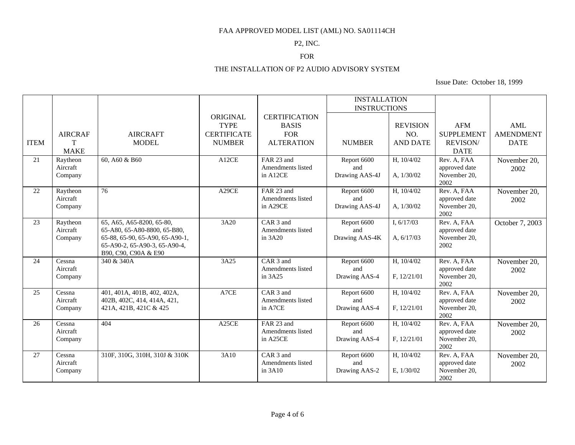#### P2, INC.

## FOR

### THE INSTALLATION OF P2 AUDIO ADVISORY SYSTEM

|             |                |                                                       |                    |                      | <b>INSTALLATION</b> |                 |                      |                  |
|-------------|----------------|-------------------------------------------------------|--------------------|----------------------|---------------------|-----------------|----------------------|------------------|
|             |                |                                                       |                    |                      | <b>INSTRUCTIONS</b> |                 |                      |                  |
|             |                |                                                       | ORIGINAL           | <b>CERTIFICATION</b> |                     |                 |                      |                  |
|             |                |                                                       | <b>TYPE</b>        | <b>BASIS</b>         |                     | <b>REVISION</b> | <b>AFM</b>           | AML              |
|             | <b>AIRCRAF</b> | <b>AIRCRAFT</b>                                       | <b>CERTIFICATE</b> | <b>FOR</b>           |                     | NO.             | <b>SUPPLEMENT</b>    | <b>AMENDMENT</b> |
| <b>ITEM</b> | T              | <b>MODEL</b>                                          | <b>NUMBER</b>      | <b>ALTERATION</b>    | <b>NUMBER</b>       | <b>AND DATE</b> | <b>REVISON/</b>      | <b>DATE</b>      |
|             | <b>MAKE</b>    |                                                       |                    |                      |                     |                 | <b>DATE</b>          |                  |
| 21          | Raytheon       | 60, A60 & B60                                         | A12CE              | FAR 23 and           | Report 6600         | H, 10/4/02      | Rev. A, FAA          | November 20,     |
|             | Aircraft       |                                                       |                    | Amendments listed    | and                 |                 | approved date        | 2002             |
|             | Company        |                                                       |                    | in A12CE             | Drawing AAS-4J      | A, $1/30/02$    | November 20,<br>2002 |                  |
| 22          | Raytheon       | $\overline{76}$                                       | A29CE              | FAR 23 and           | Report 6600         | H, 10/4/02      | Rev. A, FAA          | November 20,     |
|             | Aircraft       |                                                       |                    | Amendments listed    | and                 |                 | approved date        | 2002             |
|             | Company        |                                                       |                    | in A29CE             | Drawing AAS-4J      | A, 1/30/02      | November 20,         |                  |
|             |                |                                                       |                    |                      |                     |                 | 2002                 |                  |
| 23          | Raytheon       | 65, A65, A65-8200, 65-80,                             | 3A20               | CAR <sub>3</sub> and | Report 6600         | I, $6/17/03$    | Rev. A, FAA          | October 7, 2003  |
|             | Aircraft       | 65-A80, 65-A80-8800, 65-B80,                          |                    | Amendments listed    | and                 |                 | approved date        |                  |
|             | Company        | 65-88, 65-90, 65-A90, 65-A90-1,                       |                    | in 3A20              | Drawing AAS-4K      | A, $6/17/03$    | November 20,         |                  |
|             |                | 65-A90-2, 65-A90-3, 65-A90-4,<br>B90, C90, C90A & E90 |                    |                      |                     |                 | 2002                 |                  |
| 24          | Cessna         | 340 & 340A                                            | 3A25               | CAR <sub>3</sub> and | Report 6600         | H, 10/4/02      | Rev. A, FAA          | November 20,     |
|             | Aircraft       |                                                       |                    | Amendments listed    | and                 |                 | approved date        | 2002             |
|             | Company        |                                                       |                    | in 3A25              | Drawing AAS-4       | F, 12/21/01     | November 20,         |                  |
|             |                |                                                       |                    |                      |                     |                 | 2002                 |                  |
| 25          | Cessna         | 401, 401A, 401B, 402, 402A,                           | A7CE               | CAR <sub>3</sub> and | Report 6600         | H, 10/4/02      | Rev. A, FAA          | November 20,     |
|             | Aircraft       | 402B, 402C, 414, 414A, 421,                           |                    | Amendments listed    | and                 |                 | approved date        | 2002             |
|             | Company        | 421A, 421B, 421C & 425                                |                    | in A7CE              | Drawing AAS-4       | F, 12/21/01     | November 20,<br>2002 |                  |
| 26          | Cessna         | 404                                                   | A <sub>25</sub> CE | FAR 23 and           | Report 6600         | H, 10/4/02      | Rev. A, FAA          | November 20,     |
|             | Aircraft       |                                                       |                    | Amendments listed    | and                 |                 | approved date        | 2002             |
|             | Company        |                                                       |                    | in A25CE             | Drawing AAS-4       | F, 12/21/01     | November 20,         |                  |
|             |                |                                                       |                    |                      |                     |                 | 2002                 |                  |
| 27          | Cessna         | 310F, 310G, 310H, 310J & 310K                         | 3A10               | CAR <sub>3</sub> and | Report 6600         | H, 10/4/02      | Rev. A, FAA          | November 20,     |
|             | Aircraft       |                                                       |                    | Amendments listed    | and                 |                 | approved date        | 2002             |
|             | Company        |                                                       |                    | in 3A10              | Drawing AAS-2       | E, 1/30/02      | November 20,         |                  |
|             |                |                                                       |                    |                      |                     |                 | 2002                 |                  |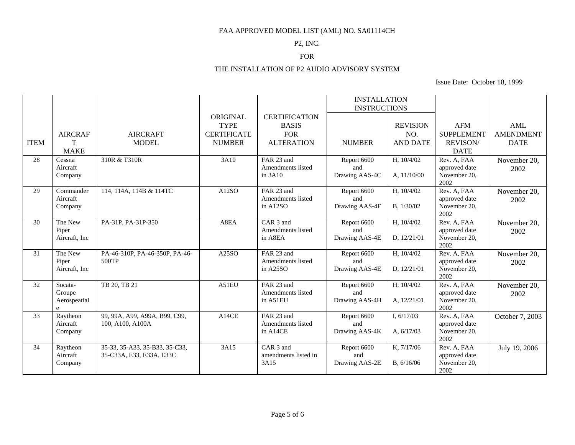#### P2, INC.

## FOR

# THE INSTALLATION OF P2 AUDIO ADVISORY SYSTEM

|                 |                      |                                                   |                    |                                 | <b>INSTALLATION</b> |                 |                               |                  |
|-----------------|----------------------|---------------------------------------------------|--------------------|---------------------------------|---------------------|-----------------|-------------------------------|------------------|
|                 |                      |                                                   |                    |                                 | <b>INSTRUCTIONS</b> |                 |                               |                  |
|                 |                      |                                                   | ORIGINAL           | <b>CERTIFICATION</b>            |                     |                 |                               |                  |
|                 |                      |                                                   | <b>TYPE</b>        | <b>BASIS</b>                    |                     | <b>REVISION</b> | <b>AFM</b>                    | <b>AML</b>       |
|                 | <b>AIRCRAF</b>       | <b>AIRCRAFT</b>                                   | <b>CERTIFICATE</b> | <b>FOR</b>                      |                     | NO.             | <b>SUPPLEMENT</b>             | <b>AMENDMENT</b> |
| <b>ITEM</b>     | T                    | <b>MODEL</b>                                      | <b>NUMBER</b>      | <b>ALTERATION</b>               | <b>NUMBER</b>       | <b>AND DATE</b> | <b>REVISON/</b>               | <b>DATE</b>      |
|                 | <b>MAKE</b>          |                                                   |                    |                                 |                     |                 | <b>DATE</b>                   |                  |
| 28              | Cessna               | 310R & T310R                                      | 3A10               | FAR 23 and                      | Report 6600         | H, 10/4/02      | Rev. A, FAA                   | November 20,     |
|                 | Aircraft             |                                                   |                    | <b>Amendments listed</b>        | and                 |                 | approved date                 | 2002             |
|                 | Company              |                                                   |                    | in $3A10$                       | Drawing AAS-4C      | A, 11/10/00     | November 20,<br>2002          |                  |
| 29              | Commander            | 114, 114A, 114B & 114TC                           | A12SO              | FAR 23 and                      | Report 6600         | H, 10/4/02      | Rev. A, FAA                   | November 20,     |
|                 | Aircraft             |                                                   |                    | Amendments listed               | and                 |                 | approved date                 | 2002             |
|                 | Company              |                                                   |                    | in A12SO                        | Drawing AAS-4F      | B, 1/30/02      | November 20,                  |                  |
|                 |                      |                                                   |                    |                                 |                     |                 | 2002                          |                  |
| 30              | The New              | PA-31P, PA-31P-350                                | A8EA               | CAR <sub>3</sub> and            | Report 6600         | H, 10/4/02      | Rev. A, FAA                   | November 20,     |
|                 | Piper                |                                                   |                    | Amendments listed               | and                 |                 | approved date                 | 2002             |
|                 | Aircraft, Inc.       |                                                   |                    | in A8EA                         | Drawing AAS-4E      | D, 12/21/01     | November 20,                  |                  |
| 31              | The New              | PA-46-310P, PA-46-350P, PA-46-                    | A25SO              | FAR 23 and                      | Report 6600         | H, 10/4/02      | 2002<br>Rev. A, FAA           |                  |
|                 | Piper                | 500TP                                             |                    | Amendments listed               | and                 |                 | approved date                 | November 20,     |
|                 | Aircraft, Inc.       |                                                   |                    | in $A25SO$                      | Drawing AAS-4E      | D, 12/21/01     | November 20,                  | 2002             |
|                 |                      |                                                   |                    |                                 |                     |                 | 2002                          |                  |
| $\overline{32}$ | Socata-              | TB 20, TB 21                                      | A51EU              | FAR 23 and                      | Report 6600         | H, 10/4/02      | Rev. A, FAA                   | November 20,     |
|                 | Groupe               |                                                   |                    | Amendments listed               | and                 |                 | approved date                 | 2002             |
|                 | Aerospeatial         |                                                   |                    | in A51EU                        | Drawing AAS-4H      | A, 12/21/01     | November 20,                  |                  |
|                 | e                    |                                                   |                    |                                 |                     |                 | 2002                          |                  |
| 33              | Raytheon<br>Aircraft | 99, 99A, A99, A99A, B99, C99,<br>100, A100, A100A | A14CE              | FAR 23 and<br>Amendments listed | Report 6600<br>and  | I, $6/17/03$    | Rev. A, FAA                   | October 7, 2003  |
|                 | Company              |                                                   |                    | in A14CE                        | Drawing AAS-4K      | A, 6/17/03      | approved date<br>November 20, |                  |
|                 |                      |                                                   |                    |                                 |                     |                 | 2002                          |                  |
| 34              | Raytheon             | 35-33, 35-A33, 35-B33, 35-C33,                    | 3A15               | CAR <sub>3</sub> and            | Report 6600         | K, 7/17/06      | Rev. A, FAA                   | July 19, 2006    |
|                 | Aircraft             | 35-C33A, E33, E33A, E33C                          |                    | amendments listed in            | and                 |                 | approved date                 |                  |
|                 | Company              |                                                   |                    | 3A15                            | Drawing AAS-2E      | B, 6/16/06      | November 20,                  |                  |
|                 |                      |                                                   |                    |                                 |                     |                 | 2002                          |                  |